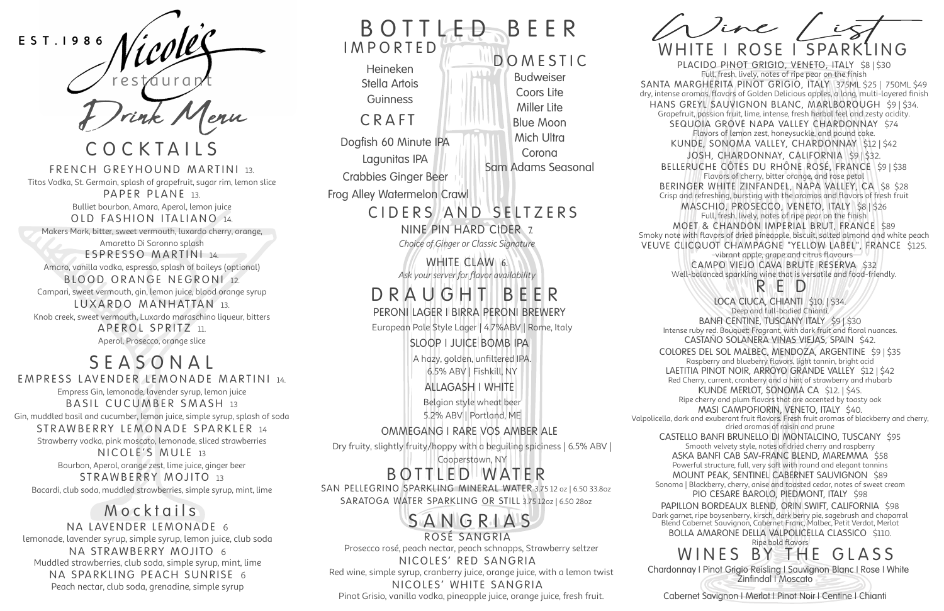E SPRESSO MARTINI 14. Amaro, vanilla vodka, espresso, splash of baileys (optional) BLOOD ORANGE NEGRONI 12. Campari, sweet vermouth, gin, lemon juice, blood orange syrup LUXARDO MANHATTAN 13. Knob creek, sweet vermouth, Luxardo maraschino liqueur, bitters A PEROL SPRITZ 11. Aperol, Prosecco, orange slice

### S A N G R I A S ROSÉ SANGRIA

Blue Moon **Mich Ultra** 

**Corona** Sam Adams Seasonal

**C R A F T** Heineken Stella Artois **Guinness** 

Prosecco rosé, peach nectar, peach schnapps, Strawberry seltzer NICOLES' RED SANGRIA

Red wine, simple syrup, cranberry juice, orange juice, with a lemon twist NICOLES' WHITE SANGRIA

WHITE CLAW<sub>16</sub> *Ask your server for flavor availability*

## D R A U G H T B E E R

STRAWBERRY MOJITO 13 Bacardi, club soda, muddled strawberries, simple syrup, mint, lime

### **Mocktails**

PERONI LAGER | BIRRA PERONI BREWERY

European Pale Style Lager | 4.7%ABV | Rome, Italy

### SLOOP | JUICE BOMB IPA

EST.1986 NinDEC BOTTLED BEER WHITE I ROSE I SPARKLING  $rest$ aurapt

FRENCH GREYHOUND MARTINI 13. Titos Vodka, St. Germain, splash of grapefruit, sugar rim, lemon slice PAPER PLANE 13. Bulliet bourbon, Amara, Aperol, lemon juice OLD FASHION ITALIANO 14. Makers Mark, bitter, sweet vermouth, luxardo cherry, orange, C O C K T A I L S

> A hazy, golden, unfiltered IPA. 6.5% ABV | Fishkill, NY ALLAGASH | WHITE

Belgian style wheat beer 5.2% ABV | Portland, ME

NA LAVENDER LEMONADE 6 lemonade, lavender syrup, simple syrup, lemon juice, club soda NA STRAWBERRY MOJITO 6 Muddled strawberries, club soda, simple syrup, mint, lime NA SPARKLING PEACH SUNRISE 6 Peach nectar, club soda, grenadine, simple syrup

# D O M E S T I C **IMPORTED**

OMMEGANG | RARE VOS AMBER ALE

Dry fruity, slightly fruity/hoppy with a beguiling spiciness | 6.5% ABV | Cooperstown, NY

SARATOGA WATER SPARKLING OR STILL 3.75 12oz | 6.50 28oz

Amaretto Di Saronno splash

SAN PELLEGRINO SPARKLING MINERAL WATER 3.75 12 oz | 6.50 33.8oz B O T T L E D W AT E R

Budweiser

Coors Lite Miller Lite

Dogfish 60 Minute IPA

Lagunitas IPA Crabbies Ginger Beer

Frog Alley Watermelon Crawl

## CIDERS AND SELTZERS

Pinot Grisio, vanilla vodka, pineapple juice, orange juice, fresh fruit.



PLACIDO PINOT GRIGIO, VENETO, ITALY \$8 | \$30 Full, fresh, lively, notes of ripe pear on the finish SANTA MARGHERITA PINOT GRIGIO, ITALY 375ML \$25 | 750ML \$49 dry, intense aromas, flavors of Golden Delicious apples, a long, multi-layered finish HANS GREYL SAUVIGNON BLANC, MARLBOROUGH \$9 | \$34. Grapefruit, passion fruit, lime, intense, fresh herbal feel and zesty acidity. SEQUOIA GROVE NAPA VALLEY CHARDONNAY \$74 Flavors of lemon zest, honeysuckle, and pound cake. KUNDE, SONOMA VALLEY, CHARDONNAY \$12 | \$42 JOSH, CHARDONNAY, CALIFORNIA \$9 | \$32. BELLERUCHE CÔTES DU RHÔNE ROSÉ, FRANCE \$91 \$38 Flavors of cherry, bitter orange, and rose petal BERINGER WHITE ZINFANDEL, NAPA VALLEY, CA \$8 \$28 Crisp and refreshing, bursting with the aromas and flavors of fresh fruit MASCHIO, PROSECCO, VENETO, ITALY \$8 | \$26 Full, fresh, lively, notes of ripe pear on the finish MOET & CHANDON IMPERIAL BRUT, FRANCE \$89 Smoky note with flavors of dried pineapple, biscuit, salted almond and white peach VEUVE CLICQUOT CHAMPAGNE "YELLOW LABEL", FRANCE \$125. vibrant apple, grape and citrus flavours CAMPO VIEJO CAVA BRUTE RESERVA \$32 Well-balanced sparkling wine that is versatile and food-friendly. LOCA CIUCA, CHIANTI \$10. | \$34. Deep and full-bodied Chianti, BANFI CENTINE, TUSCANY ITALY \$9 | \$30 Intense ruby red. Bouquet: Fragrant, with dark fruit and floral nuances. CASTAÑO SOLANERA VIÑAS VIEJAS, SPAIN \$42. COLORES DEL SOL MALBEC, MENDOZA, ARGENTINE \$9 | \$35 Raspberry and blueberry flavors, light tannin, bright acid LAETITIA PINOT NOIR, ARROYO GRANDE VALLEY \$12 | \$42 Red Cherry, current, cranberry and a hint of strawberry and rhubarb KUNDE MERLOT, SONOMA CA \$12. | \$45. Ripe cherry and plum flavors that are accented by toasty oak MASI CAMPOFIORIN, VENETO, ITALY \$40. Valpolicella, dark and exuberant fruit flavors. Fresh fruit aromas of blackberry and cherry, dried aromas of raisin and prune CASTELLO BANFI BRUNELLO DI MONTALCINO, TUSCANY \$95 Smooth velvety style, notes of dried cherry and raspberry ASKA BANFI CAB SAV-FRANC BLEND, MAREMMA \$58 Powerful structure, full, very soft with round and elegant tannins MOUNT PEAK, SENTINEL CABERNET SAUVIGNON \$89 Sonoma | Blackberry, cherry, anise and toasted cedar, notes of sweet cream PIO CESARE BAROLO, PIEDMONT, ITALY \$98 PAPILLON BORDEAUX BLEND, ORIN SWIFT, CALIFORNIA \$98 Dark garnet, ripe boysenberry, kirsch, dark berry pie, sagebrush and chaparral Blend Cabernet Sauvignon, Cabernet Franc, Malbec, Petit Verdot, Merlot BOLLA AMARONE DELLA VALPOLICELLA CLASSICO \$110. Ripe bold flavors R E D WINES BY THE GLASS

NINE PIN HARD CIDER 7. *Choice of Ginger or Classic Signature*

#### S E A S O N A L EMPRESS LAVENDER LEMONADE MARTINI 14. Empress Gin, lemonade, lavender syrup, lemon juice BASIL CUCUMBER SMASH 13 Gin, muddled basil and cucumber, lemon juice, simple syrup, splash of soda STRAWBERRY LEMONADE SPARKLER 14 Strawberry vodka, pink moscato, lemonade, sliced strawberries NICOLE'S MULE 13 Bourbon, Aperol, orange zest, lime juice, ginger beer

Chardonnay | Pinot Grigio Reisling | Sauvignon Blanc | Rose | White

Zinfindal | Moscato

Cabernet Savignon | Merlot | Pinot Noir | Centine | Chianti